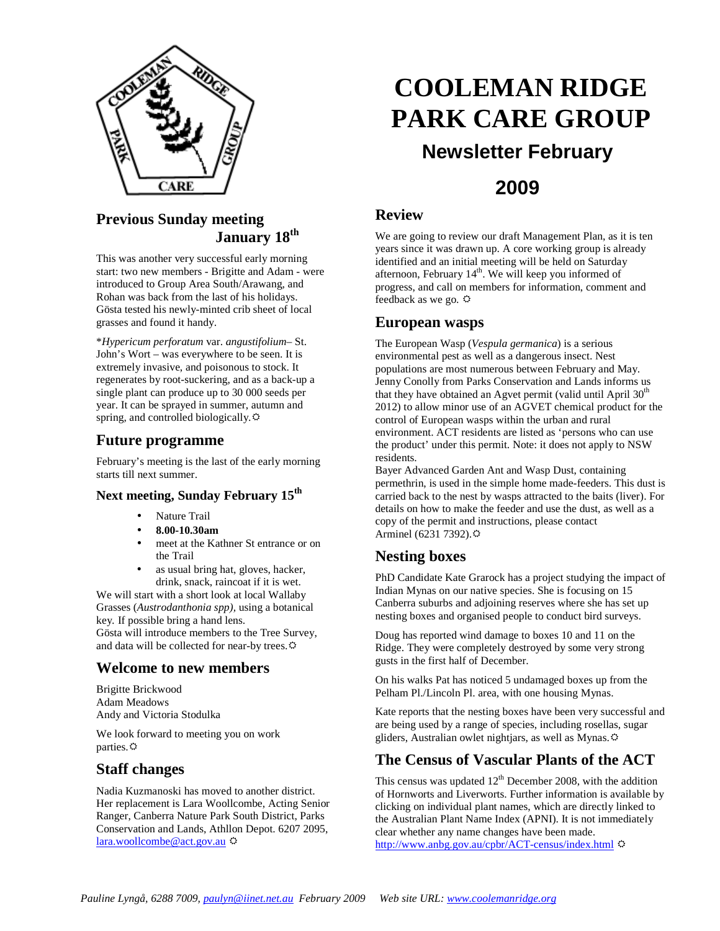

### **Previous Sunday meeting January 18th**

This was another very successful early morning start: two new members - Brigitte and Adam - were introduced to Group Area South/Arawang, and Rohan was back from the last of his holidays. Gösta tested his newly-minted crib sheet of local grasses and found it handy.

\**Hypericum perforatum* var. *angustifolium*– St. John's Wort – was everywhere to be seen. It is extremely invasive, and poisonous to stock. It regenerates by root-suckering, and as a back-up a single plant can produce up to 30 000 seeds per year. It can be sprayed in summer, autumn and spring, and controlled biologically. $\circledcirc$ 

### **Future programme**

February's meeting is the last of the early morning starts till next summer.

### **Next meeting, Sunday February 15th**

- Nature Trail
- **8.00-10.30am**
- meet at the Kathner St entrance or on the Trail
- as usual bring hat, gloves, hacker, drink, snack, raincoat if it is wet.

We will start with a short look at local Wallaby Grasses (*Austrodanthonia spp),* using a botanical key*.* If possible bring a hand lens.

Gösta will introduce members to the Tree Survey, and data will be collected for near-by trees.

### **Welcome to new members**

Brigitte Brickwood Adam Meadows Andy and Victoria Stodulka

We look forward to meeting you on work parties. $\Leftrightarrow$ 

### **Staff changes**

Nadia Kuzmanoski has moved to another district. Her replacement is Lara Woollcombe, Acting Senior Ranger, Canberra Nature Park South District, Parks Conservation and Lands, Athllon Depot. 6207 2095, lara.woollcombe@act.gov.au

# **COOLEMAN RIDGE PARK CARE GROUP**

## **Newsletter February**

### **2009**

### **Review**

We are going to review our draft Management Plan, as it is ten years since it was drawn up. A core working group is already identified and an initial meeting will be held on Saturday afternoon, February  $14<sup>th</sup>$ . We will keep you informed of progress, and call on members for information, comment and feedback as we go.  $\ddot{\varphi}$ 

### **European wasps**

The European Wasp (*Vespula germanica*) is a serious environmental pest as well as a dangerous insect. Nest populations are most numerous between February and May. Jenny Conolly from Parks Conservation and Lands informs us that they have obtained an Agvet permit (valid until April  $30<sup>th</sup>$ 2012) to allow minor use of an AGVET chemical product for the control of European wasps within the urban and rural environment. ACT residents are listed as 'persons who can use the product' under this permit. Note: it does not apply to NSW residents.

Bayer Advanced Garden Ant and Wasp Dust, containing permethrin, is used in the simple home made-feeders. This dust is carried back to the nest by wasps attracted to the baits (liver). For details on how to make the feeder and use the dust, as well as a copy of the permit and instructions, please contact Arminel (6231 7392).

### **Nesting boxes**

PhD Candidate Kate Grarock has a project studying the impact of Indian Mynas on our native species. She is focusing on 15 Canberra suburbs and adjoining reserves where she has set up nesting boxes and organised people to conduct bird surveys.

Doug has reported wind damage to boxes 10 and 11 on the Ridge. They were completely destroyed by some very strong gusts in the first half of December.

On his walks Pat has noticed 5 undamaged boxes up from the Pelham Pl./Lincoln Pl. area, with one housing Mynas.

Kate reports that the nesting boxes have been very successful and are being used by a range of species, including rosellas, sugar gliders, Australian owlet nightjars, as well as Mynas.

### **The Census of Vascular Plants of the ACT**

This census was updated  $12<sup>th</sup>$  December 2008, with the addition of Hornworts and Liverworts. Further information is available by clicking on individual plant names, which are directly linked to the Australian Plant Name Index (APNI). It is not immediately clear whether any name changes have been made. http://www.anbg.gov.au/cpbr/ACT-census/index.html